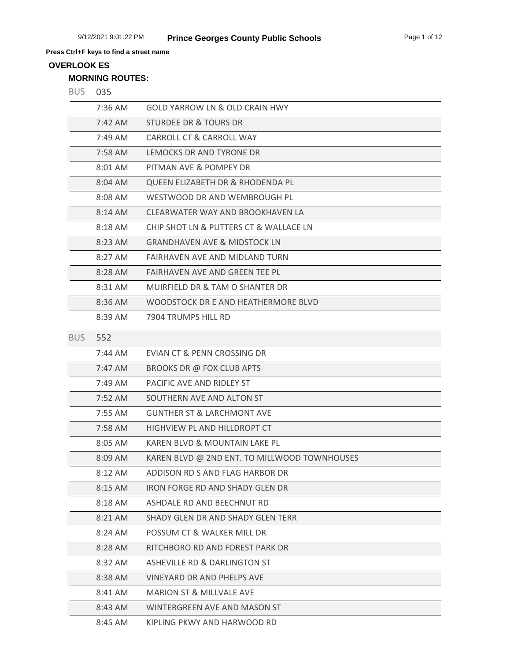# **OVERLOOK ES**

## **MORNING ROUTES:**

|  | ۰,<br>M. |
|--|----------|
|--|----------|

| - כטם      | ັບວບ                |                                              |
|------------|---------------------|----------------------------------------------|
|            | $7:36$ AM           | <b>GOLD YARROW LN &amp; OLD CRAIN HWY</b>    |
|            | 7:42 AM             | STURDEE DR & TOURS DR                        |
|            | 7:49 AM             | CARROLL CT & CARROLL WAY                     |
|            | 7:58 AM             | LEMOCKS DR AND TYRONE DR                     |
|            | 8:01 AM             | PITMAN AVE & POMPEY DR                       |
|            | 8:04 AM             | QUEEN ELIZABETH DR & RHODENDA PL             |
|            | 8:08 AM             | WESTWOOD DR AND WEMBROUGH PL                 |
|            | 8:14 AM             | CLEARWATER WAY AND BROOKHAVEN LA             |
|            | 8:18 AM             | CHIP SHOT LN & PUTTERS CT & WALLACE LN       |
|            | 8:23 AM             | <b>GRANDHAVEN AVE &amp; MIDSTOCK LN</b>      |
|            | 8:27 AM             | FAIRHAVEN AVE AND MIDLAND TURN               |
|            | 8:28 AM             | FAIRHAVEN AVE AND GREEN TEE PL               |
|            | 8:31 AM             | MUIRFIELD DR & TAM O SHANTER DR              |
|            | 8:36 AM             | WOODSTOCK DR E AND HEATHERMORE BLVD          |
|            | 8:39 AM             | 7904 TRUMPS HILL RD                          |
| <b>BUS</b> | 552                 |                                              |
|            | $7:44$ AM           | EVIAN CT & PENN CROSSING DR                  |
|            | $7:47 \, \text{AM}$ | BROOKS DR @ FOX CLUB APTS                    |
|            | 7:49 AM             | PACIFIC AVE AND RIDLEY ST                    |
|            | 7:52 AM             | SOUTHERN AVE AND ALTON ST                    |
|            | 7:55 AM             | <b>GUNTHER ST &amp; LARCHMONT AVE</b>        |
|            | 7:58 AM             | HIGHVIEW PL AND HILLDROPT CT                 |
|            | 8:05 AM             | KAREN BLVD & MOUNTAIN LAKE PL                |
|            | $8:09$ AM           | KAREN BLVD @ 2ND ENT. TO MILLWOOD TOWNHOUSES |
|            | 8:12 AM             | ADDISON RD S AND FLAG HARBOR DR              |
|            | $8:15$ AM           | IRON FORGE RD AND SHADY GLEN DR              |
|            | 8:18 AM             | ASHDALE RD AND BEECHNUT RD                   |
|            |                     |                                              |

8:21 AM SHADY GLEN DR AND SHADY GLEN TERR 8:24 AM POSSUM CT & WALKER MILL DR 8:28 AM RITCHBORO RD AND FOREST PARK DR 8:32 AM ASHEVILLE RD & DARLINGTON ST 8:38 AM VINEYARD DR AND PHELPS AVE 8:41 AM MARION ST & MILLVALE AVE 8:43 AM WINTERGREEN AVE AND MASON ST

8:45 AM KIPLING PKWY AND HARWOOD RD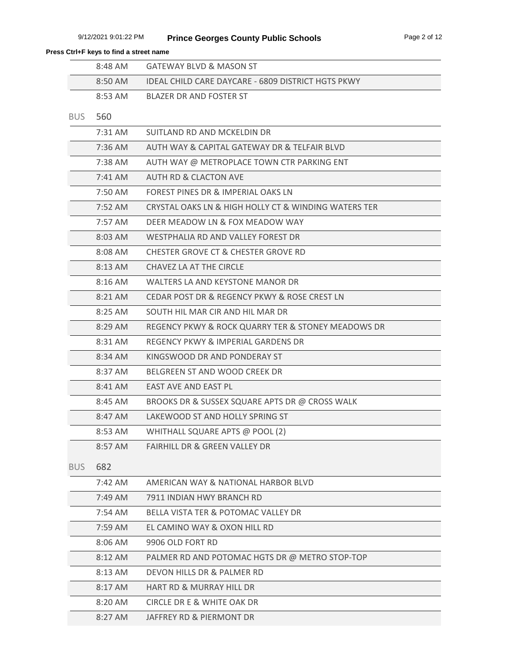|            | 8:48 AM           | <b>GATEWAY BLVD &amp; MASON ST</b>                   |
|------------|-------------------|------------------------------------------------------|
|            | 8:50 AM           | IDEAL CHILD CARE DAYCARE - 6809 DISTRICT HGTS PKWY   |
|            | 8:53 AM           | <b>BLAZER DR AND FOSTER ST</b>                       |
| <b>BUS</b> | 560               |                                                      |
|            | $7:31$ AM         | SUITLAND RD AND MCKELDIN DR                          |
|            | $7:36$ AM         | AUTH WAY & CAPITAL GATEWAY DR & TELFAIR BLVD         |
|            | $7:38$ AM         | AUTH WAY @ METROPLACE TOWN CTR PARKING ENT           |
|            | $7:41$ AM         | <b>AUTH RD &amp; CLACTON AVE</b>                     |
|            | 7:50 AM           | FOREST PINES DR & IMPERIAL OAKS LN                   |
|            | $7:52 \text{ AM}$ | CRYSTAL OAKS LN & HIGH HOLLY CT & WINDING WATERS TER |
|            | 7:57 AM           | DEER MEADOW LN & FOX MEADOW WAY                      |
|            | 8:03 AM           | WESTPHALIA RD AND VALLEY FOREST DR                   |
|            | 8:08 AM           | CHESTER GROVE CT & CHESTER GROVE RD                  |
|            | 8:13 AM           | CHAVEZ LA AT THE CIRCLE                              |
|            | $8:16$ AM         | WALTERS LA AND KEYSTONE MANOR DR                     |
|            | 8:21 AM           | CEDAR POST DR & REGENCY PKWY & ROSE CREST LN         |
|            | 8:25 AM           | SOUTH HIL MAR CIR AND HIL MAR DR                     |
|            | 8:29 AM           | REGENCY PKWY & ROCK QUARRY TER & STONEY MEADOWS DR   |
|            | 8:31 AM           | REGENCY PKWY & IMPERIAL GARDENS DR                   |
|            | 8:34 AM           | KINGSWOOD DR AND PONDERAY ST                         |
|            | 8:37 AM           | BELGREEN ST AND WOOD CREEK DR                        |
|            | 8:41 AM           | EAST AVE AND EAST PL                                 |
|            | 8:45 AM           | BROOKS DR & SUSSEX SQUARE APTS DR @ CROSS WALK       |
|            | 8:47 AM           | LAKEWOOD ST AND HOLLY SPRING ST                      |
|            | 8:53 AM           | WHITHALL SQUARE APTS @ POOL (2)                      |
|            | 8:57 AM           | <b>FAIRHILL DR &amp; GREEN VALLEY DR</b>             |
| <b>BUS</b> | 682               |                                                      |
|            | 7:42 AM           | AMERICAN WAY & NATIONAL HARBOR BLVD                  |
|            | 7:49 AM           | 7911 INDIAN HWY BRANCH RD                            |
|            | 7:54 AM           | BELLA VISTA TER & POTOMAC VALLEY DR                  |
|            | 7:59 AM           | EL CAMINO WAY & OXON HILL RD                         |
|            | 8:06 AM           | 9906 OLD FORT RD                                     |
|            | 8:12 AM           | PALMER RD AND POTOMAC HGTS DR @ METRO STOP-TOP       |
|            | 8:13 AM           | DEVON HILLS DR & PALMER RD                           |
|            | 8:17 AM           | <b>HART RD &amp; MURRAY HILL DR</b>                  |
|            | 8:20 AM           | CIRCLE DR E & WHITE OAK DR                           |
|            | 8:27 AM           | JAFFREY RD & PIERMONT DR                             |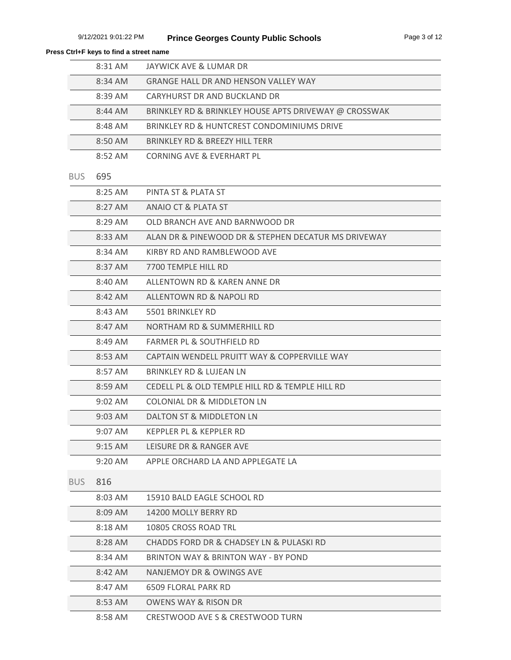|            | 8:31 AM   | JAYWICK AVE & LUMAR DR                                |
|------------|-----------|-------------------------------------------------------|
|            | 8:34 AM   | <b>GRANGE HALL DR AND HENSON VALLEY WAY</b>           |
|            | 8:39 AM   | CARYHURST DR AND BUCKLAND DR                          |
|            | 8:44 AM   | BRINKLEY RD & BRINKLEY HOUSE APTS DRIVEWAY @ CROSSWAK |
|            | 8:48 AM   | BRINKLEY RD & HUNTCREST CONDOMINIUMS DRIVE            |
|            | 8:50 AM   | BRINKLEY RD & BREEZY HILL TERR                        |
|            | 8:52 AM   | CORNING AVE & EVERHART PL                             |
| <b>BUS</b> | 695       |                                                       |
|            | 8:25 AM   | PINTA ST & PLATA ST                                   |
|            | 8:27 AM   | ANAIO CT & PLATA ST                                   |
|            | 8:29 AM   | OLD BRANCH AVE AND BARNWOOD DR                        |
|            | 8:33 AM   | ALAN DR & PINEWOOD DR & STEPHEN DECATUR MS DRIVEWAY   |
|            | 8:34 AM   | KIRBY RD AND RAMBLEWOOD AVE                           |
|            | 8:37 AM   | 7700 TEMPLE HILL RD                                   |
|            | 8:40 AM   | ALLENTOWN RD & KAREN ANNE DR                          |
|            | 8:42 AM   | ALLENTOWN RD & NAPOLI RD                              |
|            | 8:43 AM   | 5501 BRINKLEY RD                                      |
|            | 8:47 AM   | NORTHAM RD & SUMMERHILL RD                            |
|            | 8:49 AM   | FARMER PL & SOUTHFIELD RD                             |
|            | 8:53 AM   | CAPTAIN WENDELL PRUITT WAY & COPPERVILLE WAY          |
|            | 8:57 AM   | BRINKLEY RD & LUJEAN LN                               |
|            | 8:59 AM   | CEDELL PL & OLD TEMPLE HILL RD & TEMPLE HILL RD       |
|            | $9:02$ AM | COLONIAL DR & MIDDLETON LN                            |
|            | $9:03$ AM | DALTON ST & MIDDLETON LN                              |
|            | 9:07 AM   | KEPPLER PL & KEPPLER RD                               |
|            | $9:15$ AM | LEISURE DR & RANGER AVE                               |
|            | $9:20$ AM | APPLE ORCHARD LA AND APPLEGATE LA                     |
| <b>BUS</b> | 816       |                                                       |
|            | 8:03 AM   | 15910 BALD EAGLE SCHOOL RD                            |
|            | 8:09 AM   | 14200 MOLLY BERRY RD                                  |
|            | 8:18 AM   | 10805 CROSS ROAD TRL                                  |
|            | 8:28 AM   | CHADDS FORD DR & CHADSEY LN & PULASKI RD              |
|            | 8:34 AM   | BRINTON WAY & BRINTON WAY - BY POND                   |
|            | 8:42 AM   | NANJEMOY DR & OWINGS AVE                              |
|            | 8:47 AM   | <b>6509 FLORAL PARK RD</b>                            |
|            | 8:53 AM   | <b>OWENS WAY &amp; RISON DR</b>                       |
|            | 8:58 AM   | CRESTWOOD AVE S & CRESTWOOD TURN                      |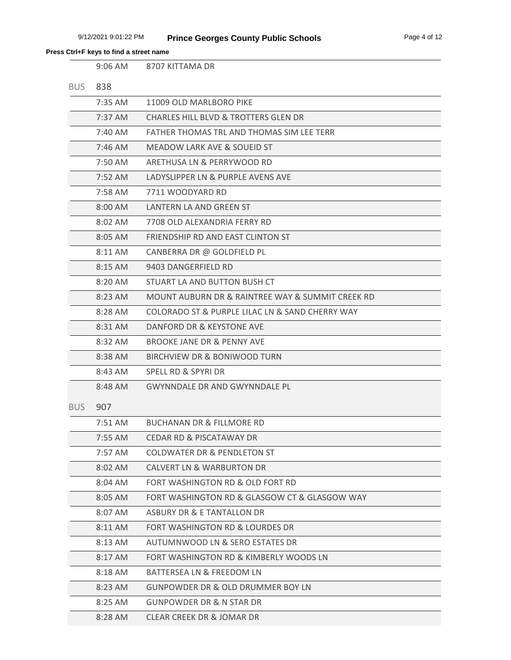|            | $9:06$ AM         | 8707 KITTAMA DR                                  |
|------------|-------------------|--------------------------------------------------|
| <b>BUS</b> | 838               |                                                  |
|            | 7:35 AM           | 11009 OLD MARLBORO PIKE                          |
|            | $7:37$ AM         | <b>CHARLES HILL BLVD &amp; TROTTERS GLEN DR</b>  |
|            | 7:40 AM           | FATHER THOMAS TRL AND THOMAS SIM LEE TERR        |
|            | $7:46$ AM         | MEADOW LARK AVE & SOUEID ST                      |
|            | 7:50 AM           | ARETHUSA LN & PERRYWOOD RD                       |
|            | $7:52 \text{ AM}$ | LADYSLIPPER LN & PURPLE AVENS AVE                |
|            | 7:58 AM           | 7711 WOODYARD RD                                 |
|            | 8:00 AM           | LANTERN LA AND GREEN ST                          |
|            | 8:02 AM           | 7708 OLD ALEXANDRIA FERRY RD                     |
|            | 8:05 AM           | FRIENDSHIP RD AND EAST CLINTON ST                |
|            | 8:11 AM           | CANBERRA DR @ GOLDFIELD PL                       |
|            | 8:15 AM           | 9403 DANGERFIELD RD                              |
|            | $8:20$ AM         | STUART LA AND BUTTON BUSH CT                     |
|            | 8:23 AM           | MOUNT AUBURN DR & RAINTREE WAY & SUMMIT CREEK RD |
|            | 8:28 AM           | COLORADO ST & PURPLE LILAC LN & SAND CHERRY WAY  |
|            | 8:31 AM           | DANFORD DR & KEYSTONE AVE                        |
|            | 8:32 AM           | BROOKE JANE DR & PENNY AVE                       |
|            | 8:38 AM           | BIRCHVIEW DR & BONIWOOD TURN                     |
|            | 8:43 AM           | <b>SPELL RD &amp; SPYRI DR</b>                   |
|            | 8:48 AM           | <b>GWYNNDALE DR AND GWYNNDALE PL</b>             |
| BUS.       | 907               |                                                  |
|            | $7:51$ AM         | <b>BUCHANAN DR &amp; FILLMORE RD</b>             |
|            | 7:55 AM           | <b>CEDAR RD &amp; PISCATAWAY DR</b>              |
|            | 7:57 AM           | <b>COLDWATER DR &amp; PENDLETON ST</b>           |
|            | 8:02 AM           | <b>CALVERT LN &amp; WARBURTON DR</b>             |
|            | 8:04 AM           | FORT WASHINGTON RD & OLD FORT RD                 |
|            | 8:05 AM           | FORT WASHINGTON RD & GLASGOW CT & GLASGOW WAY    |
|            | 8:07 AM           | <b>ASBURY DR &amp; E TANTALLON DR</b>            |
|            | 8:11 AM           | FORT WASHINGTON RD & LOURDES DR                  |
|            | 8:13 AM           | AUTUMNWOOD LN & SERO ESTATES DR                  |
|            | 8:17 AM           | FORT WASHINGTON RD & KIMBERLY WOODS LN           |
|            | 8:18 AM           | <b>BATTERSEA LN &amp; FREEDOM LN</b>             |
|            | 8:23 AM           | <b>GUNPOWDER DR &amp; OLD DRUMMER BOY LN</b>     |
|            | 8:25 AM           | <b>GUNPOWDER DR &amp; N STAR DR</b>              |
|            | 8:28 AM           | CLEAR CREEK DR & JOMAR DR                        |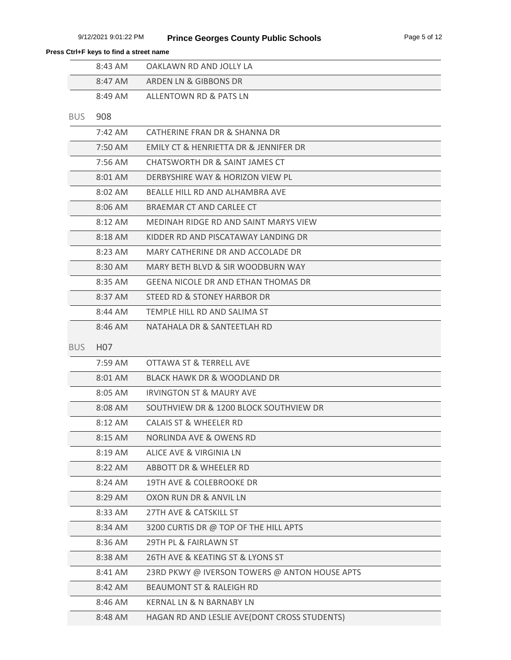|            | 8:43 AM          | OAKLAWN RD AND JOLLY LA                       |
|------------|------------------|-----------------------------------------------|
|            | 8:47 AM          | ARDEN LN & GIBBONS DR                         |
|            | 8:49 AM          | ALLENTOWN RD & PATS LN                        |
| <b>BUS</b> | 908              |                                               |
|            | $7:42$ AM        | CATHERINE FRAN DR & SHANNA DR                 |
|            | 7:50 AM          | EMILY CT & HENRIETTA DR & JENNIFER DR         |
|            | 7:56 AM          | CHATSWORTH DR & SAINT JAMES CT                |
|            | 8:01 AM          | DERBYSHIRE WAY & HORIZON VIEW PL              |
|            | 8:02 AM          | BEALLE HILL RD AND ALHAMBRA AVE               |
|            | 8:06 AM          | BRAEMAR CT AND CARLEE CT                      |
|            | 8:12 AM          | MEDINAH RIDGE RD AND SAINT MARYS VIEW         |
|            | 8:18 AM          | KIDDER RD AND PISCATAWAY LANDING DR           |
|            | 8:23 AM          | MARY CATHERINE DR AND ACCOLADE DR             |
|            | 8:30 AM          | MARY BETH BLVD & SIR WOODBURN WAY             |
|            | 8:35 AM          | <b>GEENA NICOLE DR AND ETHAN THOMAS DR</b>    |
|            | 8:37 AM          | STEED RD & STONEY HARBOR DR                   |
|            | 8:44 AM          | TEMPLE HILL RD AND SALIMA ST                  |
|            | 8:46 AM          | NATAHALA DR & SANTEETLAH RD                   |
| <b>BUS</b> | H <sub>0</sub> 7 |                                               |
|            | 7:59 AM          | OTTAWA ST & TERRELL AVE                       |
|            | 8:01 AM          | <b>BLACK HAWK DR &amp; WOODLAND DR</b>        |
|            | 8:05 AM          | <b>IRVINGTON ST &amp; MAURY AVE</b>           |
|            | 8:08 AM          | SOUTHVIEW DR & 1200 BLOCK SOUTHVIEW DR        |
|            | 8:12 AM          | <b>CALAIS ST &amp; WHEELER RD</b>             |
|            | 8:15 AM          | <b>NORLINDA AVE &amp; OWENS RD</b>            |
|            | 8:19 AM          | ALICE AVE & VIRGINIA LN                       |
|            | 8:22 AM          | ABBOTT DR & WHEELER RD                        |
|            | 8:24 AM          | 19TH AVE & COLEBROOKE DR                      |
|            | 8:29 AM          | OXON RUN DR & ANVIL LN                        |
|            | 8:33 AM          | 27TH AVE & CATSKILL ST                        |
|            | 8:34 AM          | 3200 CURTIS DR @ TOP OF THE HILL APTS         |
|            | 8:36 AM          | 29TH PL & FAIRLAWN ST                         |
|            | 8:38 AM          | 26TH AVE & KEATING ST & LYONS ST              |
|            | 8:41 AM          | 23RD PKWY @ IVERSON TOWERS @ ANTON HOUSE APTS |
|            | 8:42 AM          | <b>BEAUMONT ST &amp; RALEIGH RD</b>           |
|            | 8:46 AM          | <b>KERNAL LN &amp; N BARNABY LN</b>           |
|            | 8:48 AM          | HAGAN RD AND LESLIE AVE(DONT CROSS STUDENTS)  |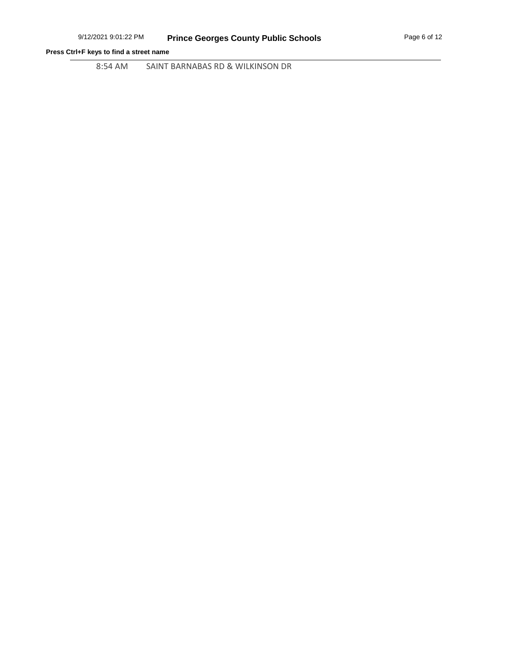8:54 AM SAINT BARNABAS RD & WILKINSON DR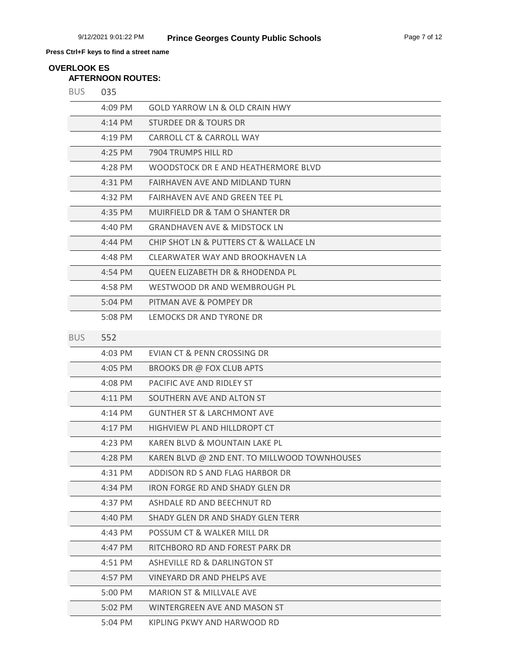# **AFTERNOON ROUTES: OVERLOOK ES**

| <b>BUS</b> | 035                 |                                              |
|------------|---------------------|----------------------------------------------|
|            | 4:09 PM             | <b>GOLD YARROW LN &amp; OLD CRAIN HWY</b>    |
|            | 4:14 PM             | <b>STURDEE DR &amp; TOURS DR</b>             |
|            | 4:19 PM             | CARROLL CT & CARROLL WAY                     |
|            | 4:25 PM             | 7904 TRUMPS HILL RD                          |
|            | 4:28 PM             | WOODSTOCK DR E AND HEATHERMORE BLVD          |
|            | 4:31 PM             | FAIRHAVEN AVE AND MIDLAND TURN               |
|            | 4:32 PM             | <b>FAIRHAVEN AVE AND GREEN TEE PL</b>        |
|            | 4:35 PM             | MUIRFIELD DR & TAM O SHANTER DR              |
|            | 4:40 PM             | <b>GRANDHAVEN AVE &amp; MIDSTOCK LN</b>      |
|            | $4:44 \, \text{PM}$ | CHIP SHOT LN & PUTTERS CT & WALLACE LN       |
|            | 4:48 PM             | CLEARWATER WAY AND BROOKHAVEN LA             |
|            | 4:54 PM             | <b>QUEEN ELIZABETH DR &amp; RHODENDA PL</b>  |
|            | 4:58 PM             | WESTWOOD DR AND WEMBROUGH PL                 |
|            | 5:04 PM             | PITMAN AVE & POMPEY DR                       |
|            | 5:08 PM             | LEMOCKS DR AND TYRONE DR                     |
| <b>BUS</b> | 552                 |                                              |
|            | 4:03 PM             | EVIAN CT & PENN CROSSING DR                  |
|            | 4:05 PM             | BROOKS DR @ FOX CLUB APTS                    |
|            | 4:08 PM             | PACIFIC AVE AND RIDLEY ST                    |
|            | 4:11 PM             | SOUTHERN AVE AND ALTON ST                    |
|            | 4:14 PM             | <b>GUNTHER ST &amp; LARCHMONT AVE</b>        |
|            | 4:17 PM             | HIGHVIEW PL AND HILLDROPT CT                 |
|            | $4:23$ PM           | KAREN BLVD & MOUNTAIN LAKE PL                |
|            | 4:28 PM             | KAREN BLVD @ 2ND ENT. TO MILLWOOD TOWNHOUSES |
|            | 4:31 PM             | ADDISON RD S AND FLAG HARBOR DR              |
|            | 4:34 PM             | IRON FORGE RD AND SHADY GLEN DR              |
|            | 4:37 PM             | ASHDALE RD AND BEECHNUT RD                   |
|            | 4:40 PM             | SHADY GLEN DR AND SHADY GLEN TERR            |
|            | 4:43 PM             | POSSUM CT & WALKER MILL DR                   |
|            | 4:47 PM             | RITCHBORO RD AND FOREST PARK DR              |
|            | 4:51 PM             | ASHEVILLE RD & DARLINGTON ST                 |
|            | 4:57 PM             | VINEYARD DR AND PHELPS AVE                   |
|            | 5:00 PM             | <b>MARION ST &amp; MILLVALE AVE</b>          |
|            | 5:02 PM             | WINTERGREEN AVE AND MASON ST                 |
|            | 5:04 PM             | KIPLING PKWY AND HARWOOD RD                  |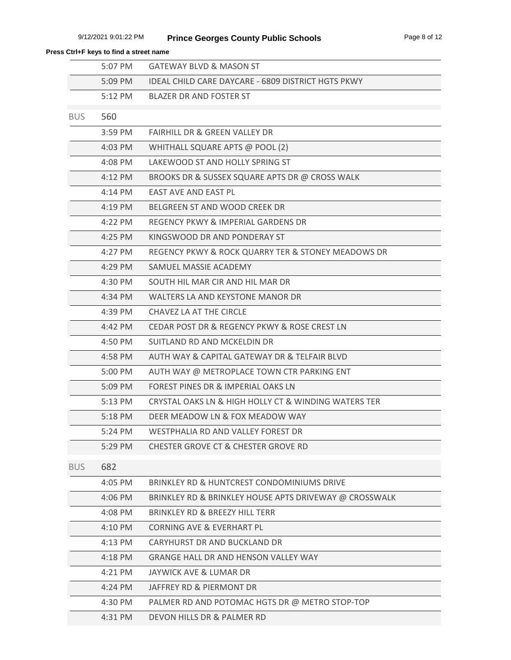|            | 5:07 PM           | <b>GATEWAY BLVD &amp; MASON ST</b>                        |
|------------|-------------------|-----------------------------------------------------------|
|            | 5:09 PM           | <b>IDEAL CHILD CARE DAYCARE - 6809 DISTRICT HGTS PKWY</b> |
|            | $5:12 \text{ PM}$ | <b>BLAZER DR AND FOSTER ST</b>                            |
| <b>BUS</b> | 560               |                                                           |
|            | 3:59 PM           | FAIRHILL DR & GREEN VALLEY DR                             |
|            | $4:03$ PM         | WHITHALL SQUARE APTS @ POOL (2)                           |
|            | 4:08 PM           | LAKEWOOD ST AND HOLLY SPRING ST                           |
|            | $4:12$ PM         | BROOKS DR & SUSSEX SQUARE APTS DR @ CROSS WALK            |
|            | $4:14$ PM         | <b>EAST AVE AND EAST PL</b>                               |
|            | $4:19$ PM         | BELGREEN ST AND WOOD CREEK DR                             |
|            | 4:22 PM           | REGENCY PKWY & IMPERIAL GARDENS DR                        |
|            | $4:25$ PM         | KINGSWOOD DR AND PONDERAY ST                              |
|            | 4:27 PM           | REGENCY PKWY & ROCK QUARRY TER & STONEY MEADOWS DR        |
|            | 4:29 PM           | SAMUEL MASSIE ACADEMY                                     |
|            | 4:30 PM           | SOUTH HIL MAR CIR AND HIL MAR DR                          |
|            | 4:34 PM           | WALTERS LA AND KEYSTONE MANOR DR                          |
|            | 4:39 PM           | CHAVEZ LA AT THE CIRCLE                                   |
|            | 4:42 PM           | CEDAR POST DR & REGENCY PKWY & ROSE CREST LN              |
|            | 4:50 PM           | SUITLAND RD AND MCKELDIN DR                               |
|            | 4:58 PM           | AUTH WAY & CAPITAL GATEWAY DR & TELFAIR BLVD              |
|            | 5:00 PM           | AUTH WAY @ METROPLACE TOWN CTR PARKING ENT                |
|            | 5:09 PM           | FOREST PINES DR & IMPERIAL OAKS LN                        |
|            | $5:13$ PM         | CRYSTAL OAKS LN & HIGH HOLLY CT & WINDING WATERS TER      |
|            | $5:18$ PM         | DEER MEADOW LN & FOX MEADOW WAY                           |
|            | $5:24 \, PM$      | WESTPHALIA RD AND VALLEY FOREST DR                        |
|            | 5:29 PM           | <b>CHESTER GROVE CT &amp; CHESTER GROVE RD</b>            |
| <b>BUS</b> | 682               |                                                           |
|            | 4:05 PM           | BRINKLEY RD & HUNTCREST CONDOMINIUMS DRIVE                |
|            | 4:06 PM           | BRINKLEY RD & BRINKLEY HOUSE APTS DRIVEWAY @ CROSSWALK    |
|            | 4:08 PM           | BRINKLEY RD & BREEZY HILL TERR                            |
|            | 4:10 PM           | <b>CORNING AVE &amp; EVERHART PL</b>                      |
|            | 4:13 PM           | CARYHURST DR AND BUCKLAND DR                              |
|            | 4:18 PM           | <b>GRANGE HALL DR AND HENSON VALLEY WAY</b>               |
|            | 4:21 PM           | JAYWICK AVE & LUMAR DR                                    |
|            | 4:24 PM           | JAFFREY RD & PIERMONT DR                                  |
|            | 4:30 PM           | PALMER RD AND POTOMAC HGTS DR @ METRO STOP-TOP            |
|            | 4:31 PM           | DEVON HILLS DR & PALMER RD                                |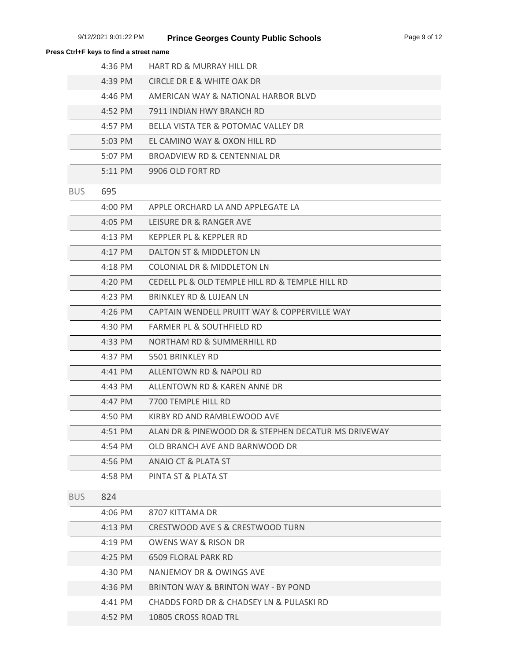| Press Ctrl+F keys to find a street name |           |                                                     |
|-----------------------------------------|-----------|-----------------------------------------------------|
|                                         | 4:36 PM   | <b>HART RD &amp; MURRAY HILL DR</b>                 |
|                                         | 4:39 PM   | CIRCLE DR E & WHITE OAK DR                          |
|                                         | $4:46$ PM | AMERICAN WAY & NATIONAL HARBOR BLVD                 |
|                                         | 4:52 PM   | 7911 INDIAN HWY BRANCH RD                           |
|                                         | 4:57 PM   | BELLA VISTA TER & POTOMAC VALLEY DR                 |
|                                         | 5:03 PM   | EL CAMINO WAY & OXON HILL RD                        |
|                                         | 5:07 PM   | <b>BROADVIEW RD &amp; CENTENNIAL DR</b>             |
|                                         | 5:11 PM   | 9906 OLD FORT RD                                    |
| <b>BUS</b>                              | 695       |                                                     |
|                                         | 4:00 PM   | APPLE ORCHARD LA AND APPLEGATE LA                   |
|                                         | 4:05 PM   | LEISURE DR & RANGER AVE                             |
|                                         | 4:13 PM   | KEPPLER PL & KEPPLER RD                             |
|                                         | 4:17 PM   | DALTON ST & MIDDLETON LN                            |
|                                         | 4:18 PM   | COLONIAL DR & MIDDLETON LN                          |
|                                         | 4:20 PM   | CEDELL PL & OLD TEMPLE HILL RD & TEMPLE HILL RD     |
|                                         | 4:23 PM   | BRINKLEY RD & LUJEAN LN                             |
|                                         | 4:26 PM   | CAPTAIN WENDELL PRUITT WAY & COPPERVILLE WAY        |
|                                         | 4:30 PM   | <b>FARMER PL &amp; SOUTHFIELD RD</b>                |
|                                         | 4:33 PM   | NORTHAM RD & SUMMERHILL RD                          |
|                                         | 4:37 PM   | 5501 BRINKLEY RD                                    |
|                                         | 4:41 PM   | <b>ALLENTOWN RD &amp; NAPOLI RD</b>                 |
|                                         | $4:43$ PM | ALLENTOWN RD & KAREN ANNE DR                        |
|                                         | 4:47 PM   | 7700 TEMPLE HILL RD                                 |
|                                         | 4:50 PM   | KIRBY RD AND RAMBLEWOOD AVE                         |
|                                         | 4:51 PM   | ALAN DR & PINEWOOD DR & STEPHEN DECATUR MS DRIVEWAY |
|                                         | 4:54 PM   | OLD BRANCH AVE AND BARNWOOD DR                      |
|                                         | 4:56 PM   | <b>ANAIO CT &amp; PLATA ST</b>                      |
|                                         | 4:58 PM   | PINTA ST & PLATA ST                                 |
| <b>BUS</b>                              | 824       |                                                     |
|                                         | $4:06$ PM | 8707 KITTAMA DR                                     |
|                                         | $4:13$ PM | CRESTWOOD AVE S & CRESTWOOD TURN                    |
|                                         | 4:19 PM   | OWENS WAY & RISON DR                                |
|                                         | 4:25 PM   | <b>6509 FLORAL PARK RD</b>                          |
|                                         | 4:30 PM   | NANJEMOY DR & OWINGS AVE                            |
|                                         | 4:36 PM   | BRINTON WAY & BRINTON WAY - BY POND                 |
|                                         | 4:41 PM   | CHADDS FORD DR & CHADSEY LN & PULASKI RD            |
|                                         | 4:52 PM   | 10805 CROSS ROAD TRL                                |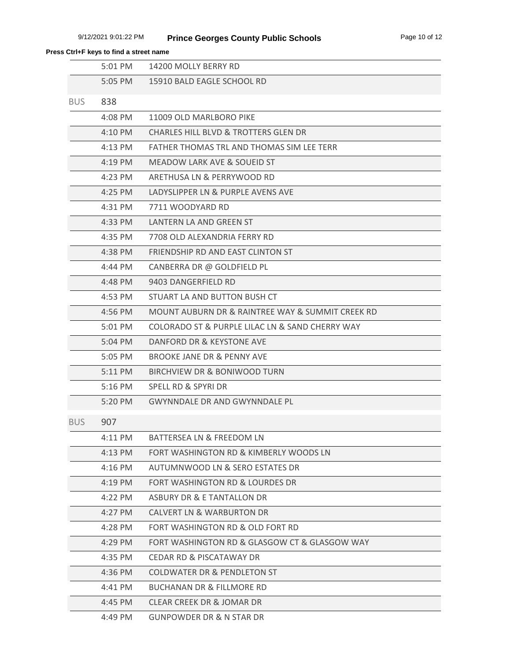|            | 5:01 PM   | 14200 MOLLY BERRY RD                             |
|------------|-----------|--------------------------------------------------|
|            | 5:05 PM   | 15910 BALD EAGLE SCHOOL RD                       |
| <b>BUS</b> | 838       |                                                  |
|            | 4:08 PM   | 11009 OLD MARLBORO PIKE                          |
|            | 4:10 PM   | <b>CHARLES HILL BLVD &amp; TROTTERS GLEN DR</b>  |
|            | 4:13 PM   | FATHER THOMAS TRL AND THOMAS SIM LEE TERR        |
|            | $4:19$ PM | MEADOW LARK AVE & SOUEID ST                      |
|            | $4:23$ PM | ARETHUSA LN & PERRYWOOD RD                       |
|            | $4:25$ PM | LADYSLIPPER LN & PURPLE AVENS AVE                |
|            | 4:31 PM   | 7711 WOODYARD RD                                 |
|            | 4:33 PM   | LANTERN LA AND GREEN ST                          |
|            | 4:35 PM   | 7708 OLD ALEXANDRIA FERRY RD                     |
|            | 4:38 PM   | FRIENDSHIP RD AND EAST CLINTON ST                |
|            | 4:44 PM   | CANBERRA DR @ GOLDFIELD PL                       |
|            | 4:48 PM   | 9403 DANGERFIELD RD                              |
|            | 4:53 PM   | STUART LA AND BUTTON BUSH CT                     |
|            | 4:56 PM   | MOUNT AUBURN DR & RAINTREE WAY & SUMMIT CREEK RD |
|            | 5:01 PM   | COLORADO ST & PURPLE LILAC LN & SAND CHERRY WAY  |
|            | 5:04 PM   | DANFORD DR & KEYSTONE AVE                        |
|            | 5:05 PM   | BROOKE JANE DR & PENNY AVE                       |
|            | 5:11 PM   | BIRCHVIEW DR & BONIWOOD TURN                     |
|            | $5:16$ PM | SPELL RD & SPYRI DR                              |
|            | 5:20 PM   | <b>GWYNNDALE DR AND GWYNNDALE PL</b>             |
| <b>BUS</b> | 907       |                                                  |
|            | 4:11 PM   | <b>BATTERSEA LN &amp; FREEDOM LN</b>             |
|            | $4:13$ PM | FORT WASHINGTON RD & KIMBERLY WOODS LN           |
|            | $4:16$ PM | AUTUMNWOOD LN & SERO ESTATES DR                  |
|            | $4:19$ PM | FORT WASHINGTON RD & LOURDES DR                  |
|            | 4:22 PM   | ASBURY DR & E TANTALLON DR                       |
|            | $4:27$ PM | CALVERT LN & WARBURTON DR                        |
|            | 4:28 PM   | FORT WASHINGTON RD & OLD FORT RD                 |
|            | 4:29 PM   | FORT WASHINGTON RD & GLASGOW CT & GLASGOW WAY    |
|            | 4:35 PM   | <b>CEDAR RD &amp; PISCATAWAY DR</b>              |
|            | 4:36 PM   | COLDWATER DR & PENDLETON ST                      |
|            | 4:41 PM   | <b>BUCHANAN DR &amp; FILLMORE RD</b>             |
|            | 4:45 PM   | CLEAR CREEK DR & JOMAR DR                        |
|            | 4:49 PM   | <b>GUNPOWDER DR &amp; N STAR DR</b>              |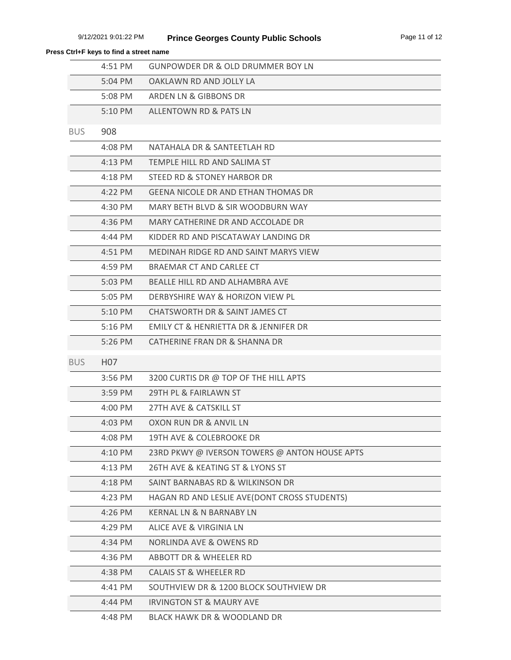|            | 4:51 PM          | <b>GUNPOWDER DR &amp; OLD DRUMMER BOY LN</b>  |
|------------|------------------|-----------------------------------------------|
|            | 5:04 PM          | OAKLAWN RD AND JOLLY LA                       |
|            | 5:08 PM          | ARDEN LN & GIBBONS DR                         |
|            | $5:10$ PM        | ALLENTOWN RD & PATS LN                        |
| <b>BUS</b> | 908              |                                               |
|            | 4:08 PM          | NATAHALA DR & SANTEETLAH RD                   |
|            | 4:13 PM          | TEMPLE HILL RD AND SALIMA ST                  |
|            | $4:18$ PM        | STEED RD & STONEY HARBOR DR                   |
|            | $4:22$ PM        | <b>GEENA NICOLE DR AND ETHAN THOMAS DR</b>    |
|            | 4:30 PM          | MARY BETH BLVD & SIR WOODBURN WAY             |
|            | 4:36 PM          | MARY CATHERINE DR AND ACCOLADE DR             |
|            | 4:44 PM          | KIDDER RD AND PISCATAWAY LANDING DR           |
|            | 4:51 PM          | MEDINAH RIDGE RD AND SAINT MARYS VIEW         |
|            | 4:59 PM          | BRAEMAR CT AND CARLEE CT                      |
|            | 5:03 PM          | BEALLE HILL RD AND ALHAMBRA AVE               |
|            | 5:05 PM          | DERBYSHIRE WAY & HORIZON VIEW PL              |
|            | 5:10 PM          | CHATSWORTH DR & SAINT JAMES CT                |
|            | $5:16$ PM        | EMILY CT & HENRIETTA DR & JENNIFER DR         |
|            | 5:26 PM          | CATHERINE FRAN DR & SHANNA DR                 |
| <b>BUS</b> | H <sub>0</sub> 7 |                                               |
|            | 3:56 PM          | 3200 CURTIS DR @ TOP OF THE HILL APTS         |
|            | 3:59 PM          | 29TH PL & FAIRLAWN ST                         |
|            | 4:00 PM          | 27TH AVE & CATSKILL ST                        |
|            | $4:03$ PM        | OXON RUN DR & ANVIL LN                        |
|            | 4:08 PM          | 19TH AVE & COLEBROOKE DR                      |
|            | 4:10 PM          | 23RD PKWY @ IVERSON TOWERS @ ANTON HOUSE APTS |
|            | 4:13 PM          | 26TH AVE & KEATING ST & LYONS ST              |
|            | 4:18 PM          | SAINT BARNABAS RD & WILKINSON DR              |
|            | 4:23 PM          | HAGAN RD AND LESLIE AVE(DONT CROSS STUDENTS)  |
|            | 4:26 PM          | <b>KERNAL LN &amp; N BARNABY LN</b>           |
|            | 4:29 PM          | ALICE AVE & VIRGINIA LN                       |
|            | 4:34 PM          | <b>NORLINDA AVE &amp; OWENS RD</b>            |
|            | 4:36 PM          | ABBOTT DR & WHEELER RD                        |
|            | 4:38 PM          | <b>CALAIS ST &amp; WHEELER RD</b>             |
|            | 4:41 PM          | SOUTHVIEW DR & 1200 BLOCK SOUTHVIEW DR        |
|            | 4:44 PM          | <b>IRVINGTON ST &amp; MAURY AVE</b>           |
|            | 4:48 PM          | BLACK HAWK DR & WOODLAND DR                   |